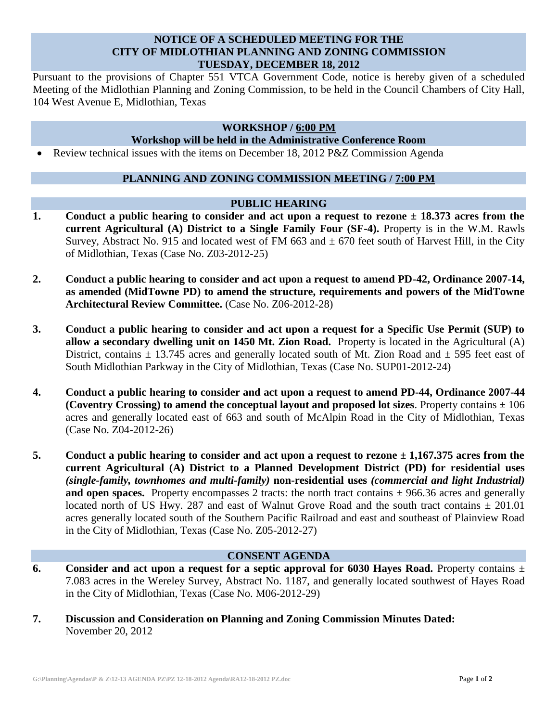# **NOTICE OF A SCHEDULED MEETING FOR THE CITY OF MIDLOTHIAN PLANNING AND ZONING COMMISSION TUESDAY, DECEMBER 18, 2012**

Pursuant to the provisions of Chapter 551 VTCA Government Code, notice is hereby given of a scheduled Meeting of the Midlothian Planning and Zoning Commission, to be held in the Council Chambers of City Hall, 104 West Avenue E, Midlothian, Texas

# **WORKSHOP / 6:00 PM**

## **Workshop will be held in the Administrative Conference Room**

Review technical issues with the items on December 18, 2012 P&Z Commission Agenda

# **PLANNING AND ZONING COMMISSION MEETING / 7:00 PM**

#### **PUBLIC HEARING**

- **1. Conduct a public hearing to consider and act upon a request to rezone ± 18.373 acres from the current Agricultural (A) District to a Single Family Four (SF-4).** Property is in the W.M. Rawls Survey, Abstract No. 915 and located west of FM 663 and  $\pm$  670 feet south of Harvest Hill, in the City of Midlothian, Texas (Case No. Z03-2012-25)
- **2. Conduct a public hearing to consider and act upon a request to amend PD-42, Ordinance 2007-14, as amended (MidTowne PD) to amend the structure, requirements and powers of the MidTowne Architectural Review Committee.** (Case No. Z06-2012-28)
- **3. Conduct a public hearing to consider and act upon a request for a Specific Use Permit (SUP) to allow a secondary dwelling unit on 1450 Mt. Zion Road.** Property is located in the Agricultural (A) District, contains  $\pm$  13.745 acres and generally located south of Mt. Zion Road and  $\pm$  595 feet east of South Midlothian Parkway in the City of Midlothian, Texas (Case No. SUP01-2012-24)
- **4. Conduct a public hearing to consider and act upon a request to amend PD-44, Ordinance 2007-44 (Coventry Crossing) to amend the conceptual layout and proposed lot sizes**. Property contains ± 106 acres and generally located east of 663 and south of McAlpin Road in the City of Midlothian, Texas (Case No. Z04-2012-26)
- **5. Conduct a public hearing to consider and act upon a request to rezone ± 1,167.375 acres from the current Agricultural (A) District to a Planned Development District (PD) for residential uses**  *(single-family, townhomes and multi-family)* **non-residential uses** *(commercial and light Industrial)*  **and open spaces.** Property encompasses 2 tracts: the north tract contains  $\pm$  966.36 acres and generally located north of US Hwy. 287 and east of Walnut Grove Road and the south tract contains *±* 201.01 acres generally located south of the Southern Pacific Railroad and east and southeast of Plainview Road in the City of Midlothian, Texas (Case No. Z05-2012-27)

#### **CONSENT AGENDA**

- **6. Consider and act upon a request for a septic approval for 6030 Hayes Road.** Property contains ± 7.083 acres in the Wereley Survey, Abstract No. 1187, and generally located southwest of Hayes Road in the City of Midlothian, Texas (Case No. M06-2012-29)
- **7. Discussion and Consideration on Planning and Zoning Commission Minutes Dated:**  November 20, 2012